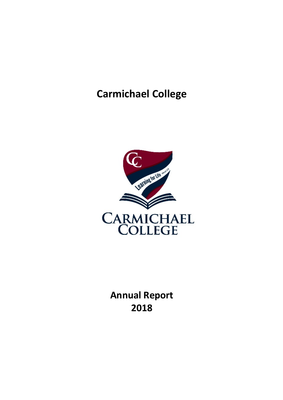# **Carmichael College**



**Annual Report 2018**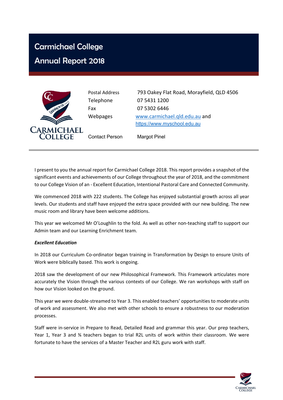# Carmichael College

# Annual Report 2018



Postal Address 793 Oakey Flat Road, Morayfield, QLD 4506 Telephone 07 5431 1200

Fax 07 5302 6446 Webpages www.carmichael.qld.edu.au and https://www.myschool.edu.au

Contact Person Margot Pinel

I present to you the annual report for Carmichael College 2018. This report provides a snapshot of the significant events and achievements of our College throughout the year of 2018, and the commitment to our College Vision of an - Excellent Education, Intentional Pastoral Care and Connected Community.

We commenced 2018 with 222 students. The College has enjoyed substantial growth across all year levels. Our students and staff have enjoyed the extra space provided with our new building. The new music room and library have been welcome additions.

This year we welcomed Mr O'Loughlin to the fold. As well as other non-teaching staff to support our Admin team and our Learning Enrichment team.

#### *Excellent Education*

In 2018 our Curriculum Co-ordinator began training in Transformation by Design to ensure Units of Work were biblically based. This work is ongoing.

2018 saw the development of our new Philosophical Framework. This Framework articulates more accurately the Vision through the various contexts of our College. We ran workshops with staff on how our Vision looked on the ground.

This year we were double-streamed to Year 3. This enabled teachers' opportunities to moderate units of work and assessment. We also met with other schools to ensure a robustness to our moderation processes.

Staff were in-service in Prepare to Read, Detailed Read and grammar this year. Our prep teachers, Year 1, Year 3 and 34 teachers began to trial R2L units of work within their classroom. We were fortunate to have the services of a Master Teacher and R2L guru work with staff.

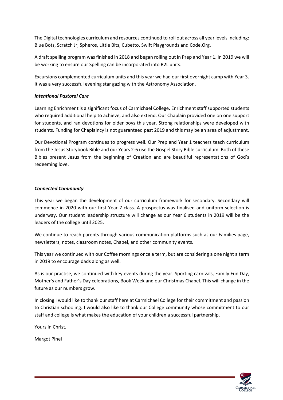The Digital technologies curriculum and resources continued to roll out across all year levels including: Blue Bots, Scratch Jr, Spheros, Little Bits, Cubetto, Swift Playgrounds and Code.Org.

A draft spelling program was finished in 2018 and began rolling out in Prep and Year 1. In 2019 we will be working to ensure our Spelling can be incorporated into R2L units.

Excursions complemented curriculum units and this year we had our first overnight camp with Year 3. It was a very successful evening star gazing with the Astronomy Association.

#### *Intentional Pastoral Care*

Learning Enrichment is a significant focus of Carmichael College. Enrichment staff supported students who required additional help to achieve, and also extend. Our Chaplain provided one on one support for students, and ran devotions for older boys this year. Strong relationships were developed with students. Funding for Chaplaincy is not guaranteed past 2019 and this may be an area of adjustment.

Our Devotional Program continues to progress well. Our Prep and Year 1 teachers teach curriculum from the Jesus Storybook Bible and our Years 2-6 use the Gospel Story Bible curriculum. Both of these Bibles present Jesus from the beginning of Creation and are beautiful representations of God's redeeming love.

#### *Connected Community*

This year we began the development of our curriculum framework for secondary. Secondary will commence in 2020 with our first Year 7 class. A prospectus was finalised and uniform selection is underway. Our student leadership structure will change as our Year 6 students in 2019 will be the leaders of the college until 2025.

We continue to reach parents through various communication platforms such as our Families page, newsletters, notes, classroom notes, Chapel, and other community events.

This year we continued with our Coffee mornings once a term, but are considering a one night a term in 2019 to encourage dads along as well.

As is our practise, we continued with key events during the year. Sporting carnivals, Family Fun Day, Mother's and Father's Day celebrations, Book Week and our Christmas Chapel. This will change in the future as our numbers grow.

In closing I would like to thank our staff here at Carmichael College for their commitment and passion to Christian schooling. I would also like to thank our College community whose commitment to our staff and college is what makes the education of your children a successful partnership.

Yours in Christ,

Margot Pinel

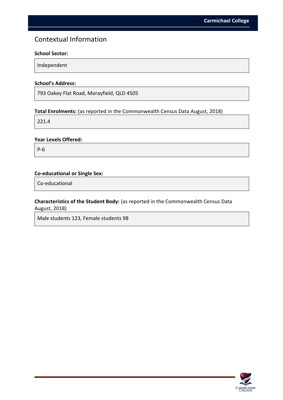### Contextual Information

#### **School Sector:**

Independent

#### **School's Address:**

793 Oakey Flat Road, Morayfield, QLD 4505

#### **Total Enrolments:** (as reported in the Commonwealth Census Data August, 2018)

221.4

#### **Year Levels Offered:**

P-6

#### **Co-educational or Single Sex:**

Co-educational

#### **Characteristics of the Student Body:** (as reported in the Commonwealth Census Data August, 2018)

Male students 123, Female students 98

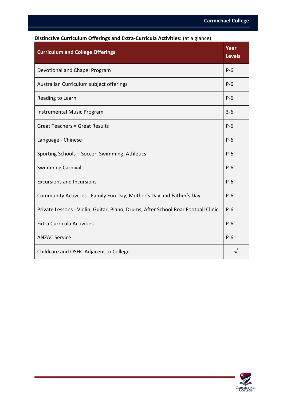| <b>Curriculum and College Offerings</b>                                           | Year<br><b>Levels</b> |
|-----------------------------------------------------------------------------------|-----------------------|
| Devotional and Chapel Program                                                     | $P-6$                 |
| Australian Curriculum subject offerings                                           | $P-6$                 |
| Reading to Learn                                                                  | $P-6$                 |
| <b>Instrumental Music Program</b>                                                 | $3 - 6$               |
| <b>Great Teachers = Great Results</b>                                             | $P-6$                 |
| Language - Chinese                                                                | $P-6$                 |
| Sporting Schools - Soccer, Swimming, Athletics                                    | $P-6$                 |
| <b>Swimming Carnival</b>                                                          | $P-6$                 |
| <b>Excursions and Incursions</b>                                                  | $P-6$                 |
| Community Activities - Family Fun Day, Mother's Day and Father's Day              | $P-6$                 |
| Private Lessons - Violin, Guitar, Piano, Drums, After School Roar Football Clinic | $P-6$                 |
| <b>Extra Curricula Activities</b>                                                 | $P-6$                 |
| <b>ANZAC Service</b>                                                              | $P-6$                 |
| Childcare and OSHC Adjacent to College                                            |                       |

#### **Distinctive Curriculum Offerings and Extra-Curricula Activities:** (at a glance)

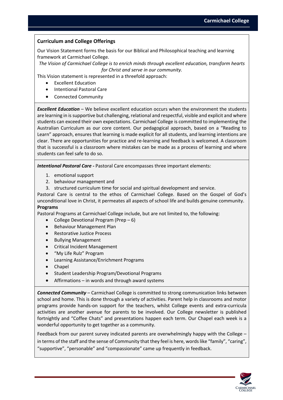#### **Curriculum and College Offerings**

Our Vision Statement forms the basis for our Biblical and Philosophical teaching and learning framework at Carmichael College.

*The Vision of Carmichael College is to enrich minds through excellent education, transform hearts for Christ and serve in our community.*

This Vision statement is represented in a threefold approach:

- Excellent Education
- Intentional Pastoral Care
- Connected Community

*Excellent Education* – We believe excellent education occurs when the environment the students are learning in is supportive but challenging, relational and respectful, visible and explicit and where students can exceed their own expectations. Carmichael College is committed to implementing the Australian Curriculum as our core content. Our pedagogical approach, based on a "Reading to Learn" approach, ensures that learning is made explicit for all students, and learning intentions are clear. There are opportunities for practice and re-learning and feedback is welcomed. A classroom that is successful is a classroom where mistakes can be made as a process of learning and where students can feel safe to do so.

*Intentional Pastoral Care -* Pastoral Care encompasses three important elements:

- 1. emotional support
- 2. behaviour management and
- 3. structured curriculum time for social and spiritual development and service.

Pastoral Care is central to the ethos of Carmichael College. Based on the Gospel of God's unconditional love in Christ, it permeates all aspects of school life and builds genuine community. **Programs**

Pastoral Programs at Carmichael College include, but are not limited to, the following:

- College Devotional Program (Prep 6)
- Behaviour Management Plan
- Restorative Justice Process
- Bullying Management
- Critical Incident Management
- "My Life Rulz" Program
- Learning Assistance/Enrichment Programs
- Chapel
- Student Leadership Program/Devotional Programs
- Affirmations  $-$  in words and through award systems

*Connected Community* – Carmichael College is committed to strong communication links between school and home. This is done through a variety of activities. Parent help in classrooms and motor programs provide hands-on support for the teachers, whilst College events and extra-curricula activities are another avenue for parents to be involved. Our College newsletter is published fortnightly and "Coffee Chats" and presentations happen each term. Our Chapel each week is a wonderful opportunity to get together as a community.

Feedback from our parent survey indicated parents are overwhelmingly happy with the College – in terms of the staff and the sense of Community that they feel is here, words like "family", "caring", "supportive", "personable" and "compassionate" came up frequently in feedback.

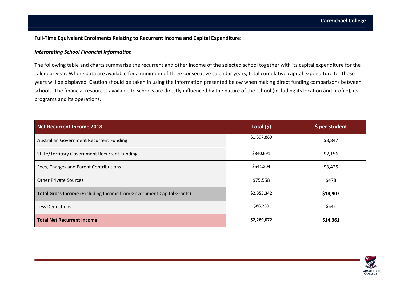#### **Full-Time Equivalent Enrolments Relating to Recurrent Income and Capital Expenditure:**

#### *Interpreting School Financial Information*

The following table and charts summarise the recurrent and other income of the selected school together with its capital expenditure for the calendar year. Where data are available for a minimum of three consecutive calendar years, total cumulative capital expenditure for those years will be displayed. Caution should be taken in using the information presented below when making direct funding comparisons between schools. The financial resources available to schools are directly influenced by the nature of the school (including its location and profile), its programs and its operations.

| <b>Net Recurrent Income 2018</b>                                     | Total (\$)  | \$ per Student |
|----------------------------------------------------------------------|-------------|----------------|
| Australian Government Recurrent Funding                              | \$1,397,889 | \$8,847        |
| <b>State/Territory Government Recurrent Funding</b>                  | \$340,691   | \$2,156        |
| Fees, Charges and Parent Contributions                               | \$541,204   | \$3,425        |
| <b>Other Private Sources</b>                                         | \$75,558    | \$478          |
| Total Gross Income (Excluding Income from Government Capital Grants) | \$2,355,342 | \$14,907       |
| Less Deductions                                                      | \$86,269    | \$546          |
| <b>Total Net Recurrent Income</b>                                    | \$2,269,072 | \$14,361       |

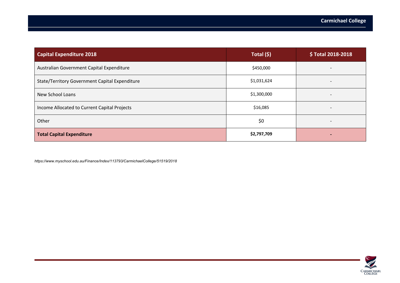| <b>Capital Expenditure 2018</b>                | Total (\$)  | \$Total 2018-2018        |
|------------------------------------------------|-------------|--------------------------|
| Australian Government Capital Expenditure      | \$450,000   |                          |
| State/Territory Government Capital Expenditure | \$1,031,624 | $\overline{\phantom{0}}$ |
| New School Loans                               | \$1,300,000 |                          |
| Income Allocated to Current Capital Projects   | \$16,085    |                          |
| Other                                          | \$0         |                          |
| <b>Total Capital Expenditure</b>               | \$2,797,709 |                          |

*https://www.myschool.edu.au/Finance/Index/113793/CarmichaelCollege/51519/2018*

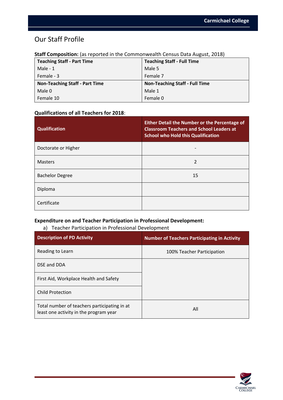## Our Staff Profile

| <b>Teaching Staff - Part Time</b>     | <b>Teaching Staff - Full Time</b>     |
|---------------------------------------|---------------------------------------|
| Male - $1$                            | Male 5                                |
| Female - 3                            | Female 7                              |
| <b>Non-Teaching Staff - Part Time</b> | <b>Non-Teaching Staff - Full Time</b> |
| Male 0                                | Male 1                                |
| Female 10                             | Female 0                              |

#### **Staff Composition:** (as reported in the Commonwealth Census Data August, 2018)

#### **Qualifications of all Teachers for 2018**:

| <b>Qualification</b>   | <b>Either Detail the Number or the Percentage of</b><br><b>Classroom Teachers and School Leaders at</b><br><b>School who Hold this Qualification</b> |
|------------------------|------------------------------------------------------------------------------------------------------------------------------------------------------|
| Doctorate or Higher    |                                                                                                                                                      |
| <b>Masters</b>         | 2                                                                                                                                                    |
| <b>Bachelor Degree</b> | 15                                                                                                                                                   |
| Diploma                |                                                                                                                                                      |
| Certificate            |                                                                                                                                                      |

#### **Expenditure on and Teacher Participation in Professional Development:**

#### a) Teacher Participation in Professional Development

| <b>Description of PD Activity</b>                                                      | <b>Number of Teachers Participating in Activity</b> |
|----------------------------------------------------------------------------------------|-----------------------------------------------------|
| Reading to Learn                                                                       | 100% Teacher Participation                          |
| DSE and DDA                                                                            |                                                     |
| First Aid, Workplace Health and Safety                                                 |                                                     |
| <b>Child Protection</b>                                                                |                                                     |
| Total number of teachers participating in at<br>least one activity in the program year | All                                                 |

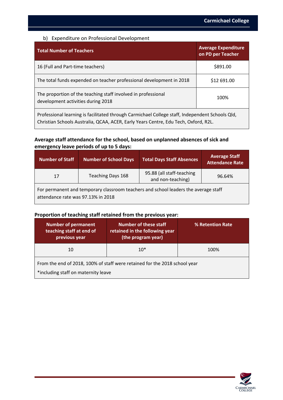#### b) Expenditure on Professional Development

| <b>Total Number of Teachers</b>                                                                     | <b>Average Expenditure</b><br>on PD per Teacher |  |
|-----------------------------------------------------------------------------------------------------|-------------------------------------------------|--|
| 16 (Full and Part-time teachers)                                                                    | \$891.00                                        |  |
| The total funds expended on teacher professional development in 2018                                | \$12 691.00                                     |  |
| The proportion of the teaching staff involved in professional<br>development activities during 2018 | 100%                                            |  |
| Professional learning is facilitated through Carmichael College staff, Independent Schools Qld,     |                                                 |  |

Christian Schools Australia, QCAA, ACER, Early Years Centre, Edu Tech, Oxford, R2L.

#### **Average staff attendance for the school, based on unplanned absences of sick and emergency leave periods of up to 5 days:**

| <b>Number of Staff</b>                                                                                                    | <b>Number of School Days</b> | <b>Total Days Staff Absences</b>               | <b>Average Staff</b><br><b>Attendance Rate</b> |
|---------------------------------------------------------------------------------------------------------------------------|------------------------------|------------------------------------------------|------------------------------------------------|
| 17                                                                                                                        | Teaching Days 168            | 95.88 (all staff-teaching<br>and non-teaching) | 96.64%                                         |
| For permanent and temporary classroom teachers and school leaders the average staff<br>attendance rate was 97.13% in 2018 |                              |                                                |                                                |

#### **Proportion of teaching staff retained from the previous year:**

| <b>Number of permanent</b><br>teaching staff at end of<br>previous year                                           | <b>Number of these staff</b><br>retained in the following year<br>(the program year) | % Retention Rate |  |
|-------------------------------------------------------------------------------------------------------------------|--------------------------------------------------------------------------------------|------------------|--|
| 10                                                                                                                | $10*$                                                                                | 100%             |  |
| From the end of 2018, 100% of staff were retained for the 2018 school year<br>*including staff on maternity leave |                                                                                      |                  |  |

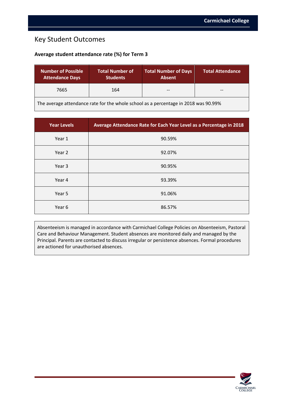### Key Student Outcomes

#### **Average student attendance rate (%) for Term 3**

| <b>Number of Possible</b><br><b>Attendance Days</b>                                 | <b>Total Number of</b><br><b>Students</b> | <b>Total Number of Days</b><br><b>Absent</b> | <b>Total Attendance</b> |
|-------------------------------------------------------------------------------------|-------------------------------------------|----------------------------------------------|-------------------------|
| 7665                                                                                | 164                                       | $- -$                                        | $- -$                   |
| The average attendance rate for the whole school as a percentage in 2018 was 90.99% |                                           |                                              |                         |

**Year Levels Average Attendance Rate for Each Year Level as a Percentage in 2018** Year 1 and 1 90.59% Year 2 92.07% Year 3 and 1 and 2 and 2 and 2 and 2 and 2 and 2 and 2 and 2 and 2 and 2 and 2 and 2 and 2 and 2 and 2 and 2 and 2 and 2 and 2 and 2 and 2 and 2 and 2 and 2 and 2 and 2 and 2 and 2 and 2 and 2 and 2 and 2 and 2 and 2 and 2 Year 4 93.39% Year 5 91.06% Year 6 and 1 and 1 and 1 and 1 and 1 and 1 and 1 and 1 and 1 and 1 and 1 and 1 and 1 and 1 and 1 and 1 and 1 and 1 and 1 and 1 and 1 and 1 and 1 and 1 and 1 and 1 and 1 and 1 and 1 and 1 and 1 and 1 and 1 and 1 and 1 and 1

Absenteeism is managed in accordance with Carmichael College Policies on Absenteeism, Pastoral Care and Behaviour Management. Student absences are monitored daily and managed by the Principal. Parents are contacted to discuss irregular or persistence absences. Formal procedures are actioned for unauthorised absences.